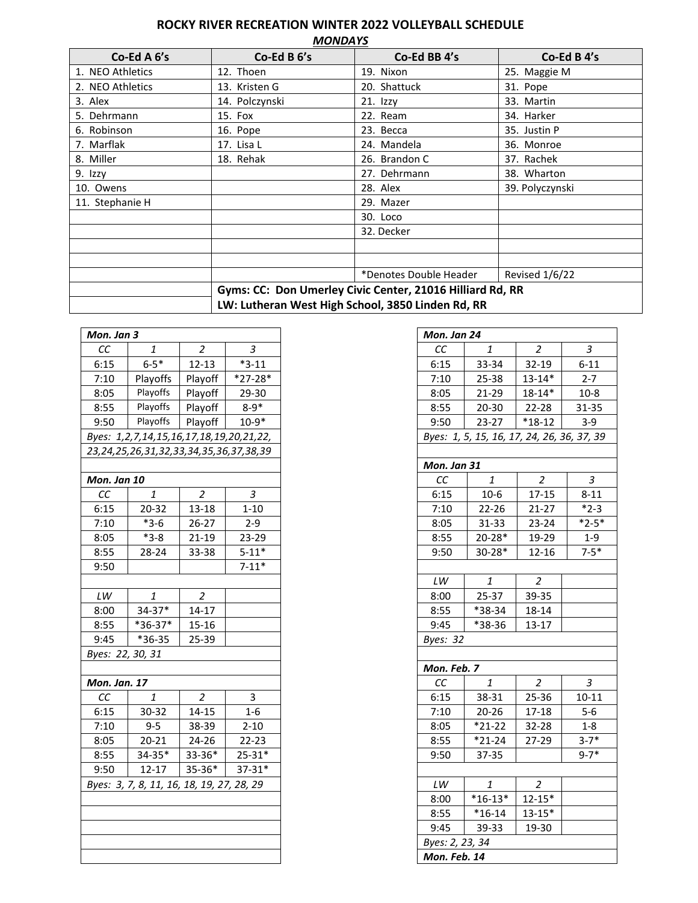## **ROCKY RIVER RECREATION WINTER 2022 VOLLEYBALL SCHEDULE**

| <b>MONDAYS</b> |  |
|----------------|--|
|                |  |

| Co-Ed A 6's      | Co-Ed B 6's                                       | Co-Ed BB 4's                                              | Co-Ed B 4's     |
|------------------|---------------------------------------------------|-----------------------------------------------------------|-----------------|
| 1. NEO Athletics | 12. Thoen                                         | 19. Nixon                                                 | 25. Maggie M    |
| 2. NEO Athletics | 13. Kristen G                                     | 20. Shattuck                                              | 31. Pope        |
| 3. Alex          | 14. Polczynski                                    | $21.$ Izzy                                                | 33. Martin      |
| 5. Dehrmann      | 15. Fox                                           | 22. Ream                                                  | 34. Harker      |
| 6. Robinson      | 16. Pope                                          | 23. Becca                                                 | 35. Justin P    |
| 7. Marflak       | 17. Lisa L                                        | 24. Mandela                                               | 36. Monroe      |
| 8. Miller        | 18. Rehak                                         | 26. Brandon C                                             | 37. Rachek      |
| 9. Izzy          |                                                   | 27. Dehrmann                                              | 38. Wharton     |
| 10. Owens        |                                                   | 28. Alex                                                  | 39. Polyczynski |
| 11. Stephanie H  |                                                   | 29. Mazer                                                 |                 |
|                  |                                                   | 30. Loco                                                  |                 |
|                  |                                                   | 32. Decker                                                |                 |
|                  |                                                   |                                                           |                 |
|                  |                                                   |                                                           |                 |
|                  |                                                   | *Denotes Double Header                                    | Revised 1/6/22  |
|                  |                                                   | Gyms: CC: Don Umerley Civic Center, 21016 Hilliard Rd, RR |                 |
|                  | LW: Lutheran West High School, 3850 Linden Rd, RR |                                                           |                 |

| Mon. Jan 3                                |                                         |                |            |
|-------------------------------------------|-----------------------------------------|----------------|------------|
| СC                                        | 1                                       | $\overline{c}$ | 3          |
| 6:15                                      | $6 - 5*$                                | $12 - 13$      | $*3-11$    |
| 7:10                                      | Playoffs                                | Playoff        | $*27-28*$  |
| 8:05                                      | Playoffs                                | Playoff        | 29-30      |
| 8:55                                      | Playoffs                                | Playoff        | $8 - 9*$   |
| 9:50                                      | Playoffs                                | Playoff        | $10-9*$    |
|                                           | Byes: 1,2,7,14,15,16,17,18,19,20,21,22, |                |            |
|                                           | 23,24,25,26,31,32,33,34,35,36,37,38,39  |                |            |
|                                           |                                         |                |            |
| Mon. Jan 10                               |                                         |                |            |
| СC                                        | 1                                       | $\overline{c}$ | З          |
| 6:15                                      | 20-32                                   | 13-18          | $1 - 10$   |
| 7:10                                      | $*3-6$                                  | 26-27          | $2 - 9$    |
| 8:05                                      | $*3-8$                                  | 21-19          | 23-29      |
| 8:55                                      | 28-24                                   | 33-38          | $5 - 11*$  |
| 9:50                                      |                                         |                | $7 - 11*$  |
|                                           |                                         |                |            |
| $\mathsf{L}\mathsf{W}$                    | 1                                       | $\overline{a}$ |            |
| 8:00                                      | $34-37*$                                | 14-17          |            |
| 8:55                                      | *36-37*                                 | $15 - 16$      |            |
| 9:45                                      | $*36-35$                                | 25-39          |            |
| Byes: 22, 30, 31                          |                                         |                |            |
|                                           |                                         |                |            |
| Mon. Jan. 17                              |                                         |                |            |
| СC                                        | 1                                       | 2              | 3          |
| 6:15                                      | 30-32                                   | $14 - 15$      | $1 - 6$    |
| 7:10                                      | $9 - 5$                                 | 38-39          | $2 - 10$   |
| 8:05                                      | $20 - 21$                               | 24-26          | 22-23      |
| 8:55                                      | 34-35*                                  | 33-36*         | $25 - 31*$ |
| 9:50                                      | $12 - 17$                               | 35-36*         | $37 - 31*$ |
| Byes: 3, 7, 8, 11, 16, 18, 19, 27, 28, 29 |                                         |                |            |
|                                           |                                         |                |            |
|                                           |                                         |                |            |
|                                           |                                         |                |            |
|                                           |                                         |                |            |
|                                           |                                         |                |            |

| Mon. Jan 24     |                                            |                |                |
|-----------------|--------------------------------------------|----------------|----------------|
| $\cal CC$       | 1                                          | $\overline{c}$ | 3              |
| 6:15            | 33-34                                      | 32-19          | $6 - 11$       |
| 7:10            | 25-38                                      | $13 - 14*$     | $2 - 7$        |
| 8:05            | 21-29                                      | $18 - 14*$     | $10 - 8$       |
| 8:55            | 20-30                                      | 22-28          | 31-35          |
| 9:50            | $23-27$                                    | $*18-12$       | $3 - 9$        |
|                 | Byes: 1, 5, 15, 16, 17, 24, 26, 36, 37, 39 |                |                |
|                 |                                            |                |                |
| Mon. Jan 31     |                                            |                |                |
| СC              | 1                                          | 2              | З              |
| 6:15            | $10-6$                                     | $17 - 15$      | $8 - 11$       |
| 7:10            | $22 - 26$                                  | 21-27          | $*2-3$         |
| 8:05            | 31-33                                      | 23-24          | $*2-5*$        |
| 8:55            | 20-28*                                     | 19-29          | $1-9$          |
| 9:50            | 30-28*                                     | 12-16          | $7 - 5*$       |
|                 |                                            |                |                |
| LW              | $\pmb{\mathit{1}}$                         | $\overline{2}$ |                |
| 8:00            | 25-37                                      | 39-35          |                |
| 8:55            | *38-34                                     | 18-14          |                |
| 9:45            | *38-36                                     | $13 - 17$      |                |
| Byes: 32        |                                            |                |                |
|                 |                                            |                |                |
| Mon. Feb. 7     |                                            |                |                |
| CC              | $\mathbf{1}$                               | $\overline{2}$ | $\overline{3}$ |
| 6:15            | 38-31                                      | 25-36          | $10 - 11$      |
| 7:10            | $20 - 26$                                  | 17-18          | $5-6$          |
| 8:05            | $*21-22$                                   | 32-28          | $1 - 8$        |
| 8:55            | $*21 - 24$                                 | 27-29          | $3 - 7*$       |
| 9:50            | 37-35                                      |                | $9 - 7*$       |
|                 |                                            |                |                |
| LW              | 1                                          | 2              |                |
| 8:00            | $*16-13*$                                  | $12 - 15*$     |                |
| 8:55            | $*16-14$                                   | $13 - 15*$     |                |
| 9:45            | 39-33                                      | 19-30          |                |
| Byes: 2, 23, 34 |                                            |                |                |
| Mon. Feb. 14    |                                            |                |                |